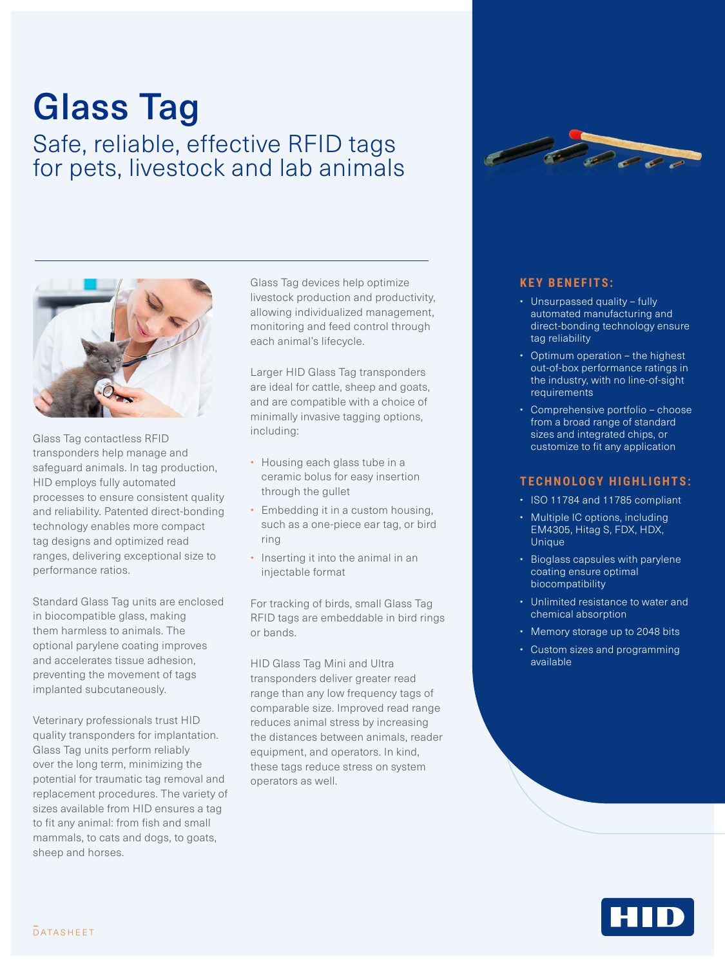# Glass Tag

Safe, reliable, effective RFID tags for pets, livestock and lab animals



Glass Tag contactless RFID transponders help manage and safeguard animals. In tag production, HID employs fully automated processes to ensure consistent quality and reliability. Patented direct-bonding technology enables more compact tag designs and optimized read ranges, delivering exceptional size to performance ratios.

Standard Glass Tag units are enclosed in biocompatible glass, making them harmless to animals. The optional parylene coating improves and accelerates tissue adhesion, preventing the movement of tags implanted subcutaneously.

Veterinary professionals trust HID quality transponders for implantation. Glass Tag units perform reliably over the long term, minimizing the potential for traumatic tag removal and replacement procedures. The variety of sizes available from HID ensures a tag to fit any animal: from fish and small mammals, to cats and dogs, to goats, sheep and horses.

Glass Tag devices help optimize livestock production and productivity, allowing individualized management, monitoring and feed control through each animal's lifecycle.

Larger HID Glass Tag transponders are ideal for cattle, sheep and goats, and are compatible with a choice of minimally invasive tagging options, including:

- Housing each glass tube in a ceramic bolus for easy insertion through the gullet
- Embedding it in a custom housing, such as a one-piece ear tag, or bird ring
- Inserting it into the animal in an injectable format

For tracking of birds, small Glass Tag RFID tags are embeddable in bird rings or bands.

HID Glass Tag Mini and Ultra transponders deliver greater read range than any low frequency tags of comparable size. Improved read range reduces animal stress by increasing the distances between animals, reader equipment, and operators. In kind, these tags reduce stress on system operators as well.



#### **KEY BENEFITS:**

- Unsurpassed quality fully automated manufacturing and direct-bonding technology ensure tag reliability
- Optimum operation the highest out-of-box performance ratings in the industry, with no line-of-sight requirements
- Comprehensive portfolio choose from a broad range of standard sizes and integrated chips, or customize to fit any application

#### **TECHNOLOGY HIGHLIGHTS:**

- ISO 11784 and 11785 compliant
- Multiple IC options, including EM4305, Hitag S, FDX, HDX, Unique
- Bioglass capsules with parylene coating ensure optimal biocompatibility
- Unlimited resistance to water and chemical absorption
- Memory storage up to 2048 bits
- Custom sizes and programming available

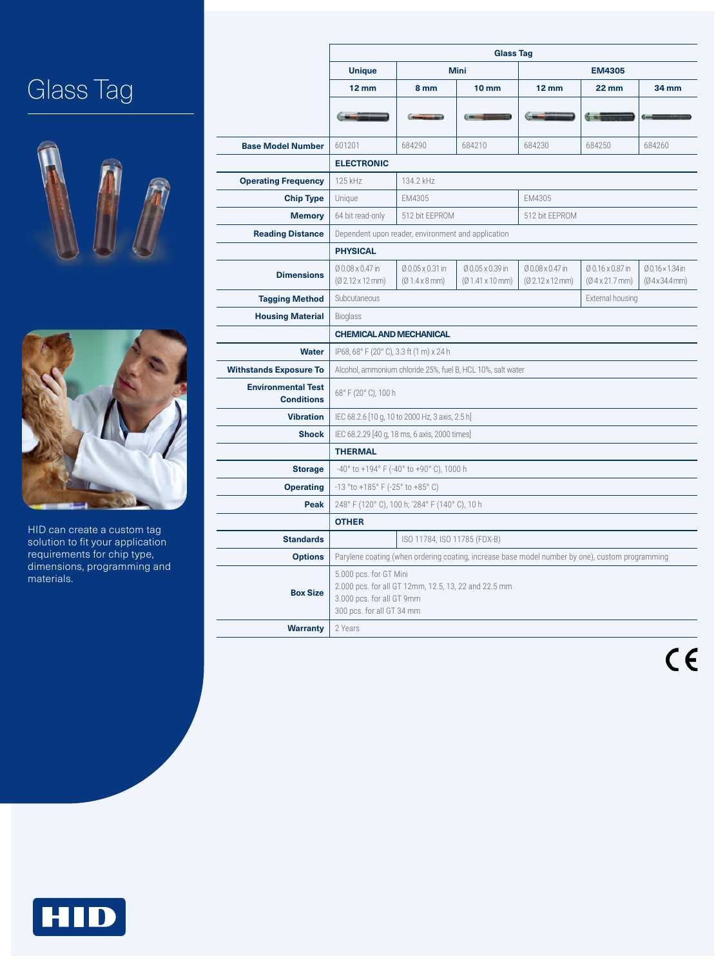## Glass Tag





HID can create a custom tag solution to fit your application requirements for chip type, dimensions, programming and materials.

|                                                | <b>Glass Tag</b>                                                                                                                         |                                                  |                                                    |                                                         |                                                    |                                |  |  |  |  |
|------------------------------------------------|------------------------------------------------------------------------------------------------------------------------------------------|--------------------------------------------------|----------------------------------------------------|---------------------------------------------------------|----------------------------------------------------|--------------------------------|--|--|--|--|
|                                                | <b>Unique</b>                                                                                                                            |                                                  | <b>Mini</b>                                        | <b>EM4305</b>                                           |                                                    |                                |  |  |  |  |
|                                                | $12 \, \text{mm}$                                                                                                                        | 8 mm<br>10 <sub>mm</sub>                         |                                                    | $12 \text{ mm}$                                         | <b>22 mm</b>                                       | 34 mm                          |  |  |  |  |
|                                                |                                                                                                                                          |                                                  |                                                    |                                                         |                                                    |                                |  |  |  |  |
|                                                |                                                                                                                                          |                                                  |                                                    |                                                         |                                                    |                                |  |  |  |  |
| <b>Base Model Number</b>                       | 601201                                                                                                                                   | 684290                                           | 684210                                             | 684230                                                  | 684250                                             | 684260                         |  |  |  |  |
|                                                | <b>ELECTRONIC</b>                                                                                                                        |                                                  |                                                    |                                                         |                                                    |                                |  |  |  |  |
| <b>Operating Frequency</b>                     | 125 kHz                                                                                                                                  | 134.2 kHz                                        |                                                    |                                                         |                                                    |                                |  |  |  |  |
| <b>Chip Type</b>                               | Unique                                                                                                                                   | EM4305                                           |                                                    | EM4305                                                  |                                                    |                                |  |  |  |  |
| <b>Memory</b>                                  | 64 bit read-only                                                                                                                         | 512 bit EEPROM                                   |                                                    | 512 bit EEPROM                                          |                                                    |                                |  |  |  |  |
| <b>Reading Distance</b>                        | Dependent upon reader, environment and application                                                                                       |                                                  |                                                    |                                                         |                                                    |                                |  |  |  |  |
|                                                | <b>PHYSICAL</b>                                                                                                                          |                                                  |                                                    |                                                         |                                                    |                                |  |  |  |  |
| <b>Dimensions</b>                              | Ø 0.08 x 0.47 in<br>$(02.12 \times 12 \text{ mm})$                                                                                       | Ø 0.05 x 0.31 in<br>$(01.4 \times 8 \text{ mm})$ | Ø 0.05 x 0.39 in<br>$(01.41 \times 10 \text{ mm})$ | $0.08 \times 0.47$ in<br>$(02.12 \times 12 \text{ mm})$ | Ø 0.16 x 0.87 in<br>$(0.4 \times 21.7 \text{ mm})$ | Ø0.16 × 1.34 in<br>(04x34.4mm) |  |  |  |  |
| <b>Tagging Method</b>                          | Subcutaneous                                                                                                                             |                                                  | External housing                                   |                                                         |                                                    |                                |  |  |  |  |
| <b>Housing Material</b>                        | <b>Bioglass</b><br><b>CHEMICAL AND MECHANICAL</b>                                                                                        |                                                  |                                                    |                                                         |                                                    |                                |  |  |  |  |
|                                                |                                                                                                                                          |                                                  |                                                    |                                                         |                                                    |                                |  |  |  |  |
| <b>Water</b>                                   | IP68, 68° F (20° C), 3.3 ft (1 m) x 24 h                                                                                                 |                                                  |                                                    |                                                         |                                                    |                                |  |  |  |  |
| <b>Withstands Exposure To</b>                  | Alcohol, ammonium chloride 25%, fuel B, HCL 10%, salt water                                                                              |                                                  |                                                    |                                                         |                                                    |                                |  |  |  |  |
| <b>Environmental Test</b><br><b>Conditions</b> | 68° F (20° C), 100 h                                                                                                                     |                                                  |                                                    |                                                         |                                                    |                                |  |  |  |  |
| <b>Vibration</b>                               | IEC 68.2.6 [10 g, 10 to 2000 Hz, 3 axis, 2.5 h]                                                                                          |                                                  |                                                    |                                                         |                                                    |                                |  |  |  |  |
| <b>Shock</b>                                   | IEC 68.2.29 [40 g, 18 ms, 6 axis, 2000 times]                                                                                            |                                                  |                                                    |                                                         |                                                    |                                |  |  |  |  |
|                                                | <b>THERMAL</b>                                                                                                                           |                                                  |                                                    |                                                         |                                                    |                                |  |  |  |  |
| <b>Storage</b>                                 | $-40^{\circ}$ to $+194^{\circ}$ F ( $-40^{\circ}$ to $+90^{\circ}$ C), 1000 h                                                            |                                                  |                                                    |                                                         |                                                    |                                |  |  |  |  |
| <b>Operating</b>                               | $-13$ °to +185° F ( $-25$ ° to +85° C)                                                                                                   |                                                  |                                                    |                                                         |                                                    |                                |  |  |  |  |
| Peak                                           | 248° F (120° C), 100 h; '284° F (140° C), 10 h                                                                                           |                                                  |                                                    |                                                         |                                                    |                                |  |  |  |  |
|                                                | <b>OTHER</b>                                                                                                                             |                                                  |                                                    |                                                         |                                                    |                                |  |  |  |  |
| <b>Standards</b>                               |                                                                                                                                          | ISO 11784, ISO 11785 (FDX-B)                     |                                                    |                                                         |                                                    |                                |  |  |  |  |
| <b>Options</b>                                 | Parylene coating (when ordering coating, increase base model number by one), custom programming                                          |                                                  |                                                    |                                                         |                                                    |                                |  |  |  |  |
| <b>Box Size</b>                                | 5.000 pcs. for GT Mini<br>2.000 pcs. for all GT 12mm, 12.5, 13, 22 and 22.5 mm<br>3.000 pcs. for all GT 9mm<br>300 pcs. for all GT 34 mm |                                                  |                                                    |                                                         |                                                    |                                |  |  |  |  |
| <b>Warranty</b>                                | 2 Years                                                                                                                                  |                                                  |                                                    |                                                         |                                                    |                                |  |  |  |  |

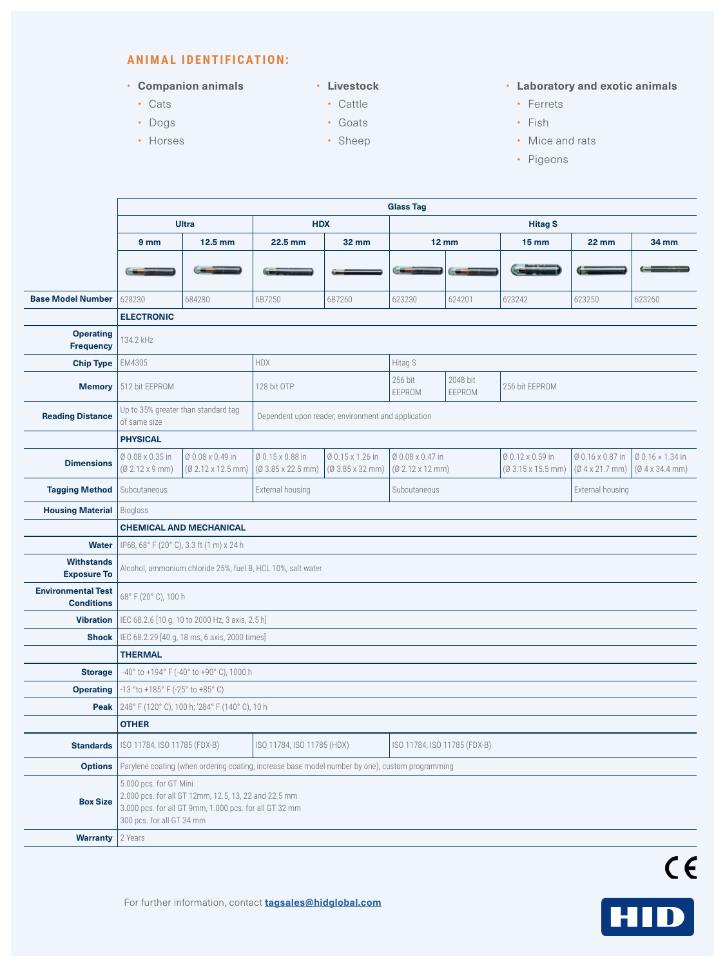#### **ANIMAL IDENTIFICATION:**

#### • **Companion animals**

- Cats
- Dogs
- Horses
- **Livestock**
	- Cattle
	- Goats
	- Sheep

#### • **Laboratory and exotic animals**

- Ferrets
- Fish
- Mice and rats
- Pigeons

|                                                | <b>Glass Tag</b>                                                                                                                                                      |                                                                                                 |                                                      |                                                    |                                                    |                    |                                                      |                                                    |                                                    |  |  |  |
|------------------------------------------------|-----------------------------------------------------------------------------------------------------------------------------------------------------------------------|-------------------------------------------------------------------------------------------------|------------------------------------------------------|----------------------------------------------------|----------------------------------------------------|--------------------|------------------------------------------------------|----------------------------------------------------|----------------------------------------------------|--|--|--|
|                                                | <b>Ultra</b>                                                                                                                                                          |                                                                                                 | <b>HDX</b>                                           |                                                    | <b>Hitag S</b>                                     |                    |                                                      |                                                    |                                                    |  |  |  |
|                                                | 9 <sub>mm</sub><br>12.5 mm                                                                                                                                            |                                                                                                 | 22.5 mm                                              | <b>32 mm</b>                                       | <b>12 mm</b>                                       |                    | $15 \, \text{mm}$                                    | <b>22 mm</b>                                       | 34 mm                                              |  |  |  |
|                                                |                                                                                                                                                                       |                                                                                                 |                                                      |                                                    |                                                    |                    |                                                      |                                                    |                                                    |  |  |  |
|                                                |                                                                                                                                                                       |                                                                                                 |                                                      |                                                    |                                                    |                    |                                                      |                                                    |                                                    |  |  |  |
| <b>Base Model Number</b>                       | 628230                                                                                                                                                                | 684280                                                                                          | 6B7250                                               | 6B7260                                             | 623230                                             | 624201             | 623242                                               | 623250                                             | 623260                                             |  |  |  |
|                                                | <b>ELECTRONIC</b>                                                                                                                                                     |                                                                                                 |                                                      |                                                    |                                                    |                    |                                                      |                                                    |                                                    |  |  |  |
| <b>Operating</b><br><b>Frequency</b>           | 134.2 kHz                                                                                                                                                             |                                                                                                 |                                                      |                                                    |                                                    |                    |                                                      |                                                    |                                                    |  |  |  |
| <b>Chip Type</b>                               | EM4305                                                                                                                                                                |                                                                                                 | <b>HDX</b>                                           |                                                    | Hitag S                                            |                    |                                                      |                                                    |                                                    |  |  |  |
| <b>Memory</b>                                  | 512 bit EEPROM                                                                                                                                                        |                                                                                                 | 128 bit OTP                                          |                                                    | 256 bit<br>EEPROM                                  | 2048 bit<br>EEPROM | 256 bit EEPROM                                       |                                                    |                                                    |  |  |  |
| <b>Reading Distance</b>                        | Up to 35% greater than standard tag<br>Dependent upon reader, environment and application<br>of same size                                                             |                                                                                                 |                                                      |                                                    |                                                    |                    |                                                      |                                                    |                                                    |  |  |  |
|                                                | <b>PHYSICAL</b>                                                                                                                                                       |                                                                                                 |                                                      |                                                    |                                                    |                    |                                                      |                                                    |                                                    |  |  |  |
| <b>Dimensions</b>                              | Ø 0.08 x 0.35 in<br>$(02.12 \times 9 \text{ mm})$                                                                                                                     | Ø 0.08 x 0.49 in<br>$(02.12 \times 12.5 \text{ mm})$                                            | Ø 0.15 x 0.88 in<br>$(03.85 \times 22.5 \text{ mm})$ | Ø 0.15 x 1.26 in<br>$(03.85 \times 32 \text{ mm})$ | Ø 0.08 x 0.47 in<br>$(02.12 \times 12 \text{ mm})$ |                    | Ø 0.12 x 0.59 in<br>$(03.15 \times 15.5 \text{ mm})$ | Ø 0.16 x 0.87 in<br>$(0.4 \times 21.7 \text{ mm})$ | Ø 0.16 × 1.34 in<br>$(0.4 \times 34.4 \text{ mm})$ |  |  |  |
| <b>Tagging Method</b>                          | Subcutaneous                                                                                                                                                          |                                                                                                 | External housing                                     |                                                    | Subcutaneous                                       |                    |                                                      | External housing                                   |                                                    |  |  |  |
| <b>Housing Material</b>                        | Bioglass                                                                                                                                                              |                                                                                                 |                                                      |                                                    |                                                    |                    |                                                      |                                                    |                                                    |  |  |  |
|                                                |                                                                                                                                                                       | <b>CHEMICAL AND MECHANICAL</b>                                                                  |                                                      |                                                    |                                                    |                    |                                                      |                                                    |                                                    |  |  |  |
| <b>Water</b>                                   | IP68, 68° F (20° C), 3.3 ft (1 m) x 24 h                                                                                                                              |                                                                                                 |                                                      |                                                    |                                                    |                    |                                                      |                                                    |                                                    |  |  |  |
| <b>Withstands</b><br><b>Exposure To</b>        | Alcohol, ammonium chloride 25%, fuel B, HCL 10%, salt water                                                                                                           |                                                                                                 |                                                      |                                                    |                                                    |                    |                                                      |                                                    |                                                    |  |  |  |
| <b>Environmental Test</b><br><b>Conditions</b> | 68° F (20° C), 100 h                                                                                                                                                  |                                                                                                 |                                                      |                                                    |                                                    |                    |                                                      |                                                    |                                                    |  |  |  |
| <b>Vibration</b>                               | IEC 68.2.6 [10 g, 10 to 2000 Hz, 3 axis, 2.5 h]                                                                                                                       |                                                                                                 |                                                      |                                                    |                                                    |                    |                                                      |                                                    |                                                    |  |  |  |
| <b>Shock</b>                                   |                                                                                                                                                                       | IEC 68.2.29 [40 g, 18 ms, 6 axis, 2000 times]                                                   |                                                      |                                                    |                                                    |                    |                                                      |                                                    |                                                    |  |  |  |
|                                                | <b>THERMAL</b>                                                                                                                                                        |                                                                                                 |                                                      |                                                    |                                                    |                    |                                                      |                                                    |                                                    |  |  |  |
| <b>Storage</b>                                 | -40° to +194° F (-40° to +90° C), 1000 h                                                                                                                              |                                                                                                 |                                                      |                                                    |                                                    |                    |                                                      |                                                    |                                                    |  |  |  |
| <b>Operating</b>                               |                                                                                                                                                                       | -13 °to +185° F (-25° to +85° C)                                                                |                                                      |                                                    |                                                    |                    |                                                      |                                                    |                                                    |  |  |  |
| Peak                                           | 248° F (120° C), 100 h; '284° F (140° C), 10 h                                                                                                                        |                                                                                                 |                                                      |                                                    |                                                    |                    |                                                      |                                                    |                                                    |  |  |  |
|                                                | <b>OTHER</b>                                                                                                                                                          |                                                                                                 |                                                      |                                                    |                                                    |                    |                                                      |                                                    |                                                    |  |  |  |
| <b>Standards</b>                               | ISO 11784, ISO 11785 (FDX-B)                                                                                                                                          |                                                                                                 | ISO 11784, ISO 11785 (HDX)                           |                                                    | ISO 11784, ISO 11785 (FDX-B)                       |                    |                                                      |                                                    |                                                    |  |  |  |
| <b>Options</b>                                 |                                                                                                                                                                       | Parylene coating (when ordering coating, increase base model number by one), custom programming |                                                      |                                                    |                                                    |                    |                                                      |                                                    |                                                    |  |  |  |
| <b>Box Size</b>                                | 5.000 pcs. for GT Mini<br>2.000 pcs. for all GT 12mm, 12.5, 13, 22 and 22.5 mm<br>3.000 pcs. for all GT 9mm, 1.000 pcs. for all GT 32 mm<br>300 pcs. for all GT 34 mm |                                                                                                 |                                                      |                                                    |                                                    |                    |                                                      |                                                    |                                                    |  |  |  |
| <b>Warranty</b>                                | 2 Years                                                                                                                                                               |                                                                                                 |                                                      |                                                    |                                                    |                    |                                                      |                                                    |                                                    |  |  |  |